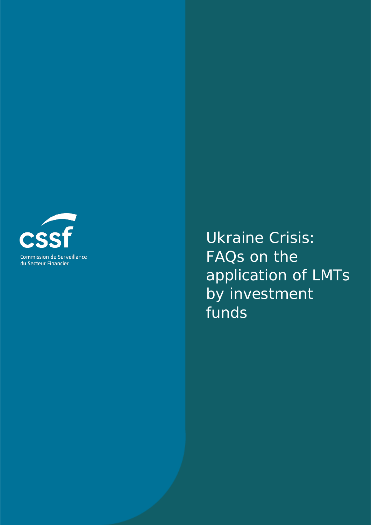

Ukraine Crisis: FAQs on the application of LMTs by investment funds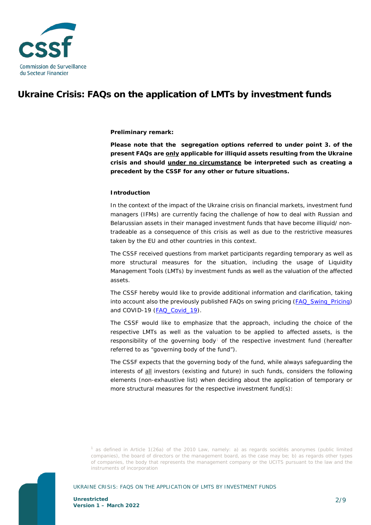

# **Ukraine Crisis: FAQs on the application of LMTs by investment funds**

# **Preliminary remark:**

**Please note that the segregation options referred to under point 3. of the present FAQs are only applicable for illiquid assets resulting from the Ukraine crisis and should under no circumstance be interpreted such as creating a precedent by the CSSF for any other or future situations.** 

# **Introduction**

In the context of the impact of the Ukraine crisis on financial markets, investment fund managers (IFMs) are currently facing the challenge of how to deal with Russian and Belarussian assets in their managed investment funds that have become illiquid/ nontradeable as a consequence of this crisis as well as due to the restrictive measures taken by the EU and other countries in this context.

The CSSF received questions from market participants regarding temporary as well as more structural measures for the situation, including the usage of Liquidity Management Tools (LMTs) by investment funds as well as the valuation of the affected assets.

The CSSF hereby would like to provide additional information and clarification, taking into account also the previously published FAQs on swing pricing [\(FAQ\\_Swing\\_Pricing\)](https://www.cssf.lu/wp-content/uploads/FAQ_Swing_Pricing.pdf) and COVID-19 [\(FAQ\\_Covid\\_19\)](https://www.cssf.lu/wp-content/uploads/FAQ_Covid_19_eng.pdf).

The CSSF would like to emphasize that the approach, including the choice of the respective LMTs as well as the valuation to be applied to affected assets, is the responsibility of the governing body<sup>[1](#page-1-0)</sup> of the respective investment fund (hereafter referred to as "governing body of the fund").

The CSSF expects that the governing body of the fund, while always safeguarding the interests of all investors (existing and future) in such funds, considers the following elements (non-exhaustive list) when deciding about the application of temporary or more structural measures for the respective investment fund(s):

# <span id="page-1-0"></span>UKRAINE CRISIS: FAQS ON THE APPLICATION OF LMTS BY INVESTMENT FUNDS

*<sup>1</sup>* as defined in Article 1(26a) of the 2010 Law, namely: a) as regards *sociétés anonymes* (public limited companies), the board of directors or the management board, as the case may be; b) as regards other types of companies, the body that represents the management company or the UCITS pursuant to the law and the instruments of incorporation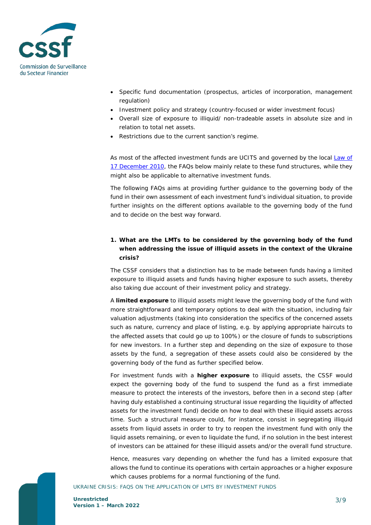

- Specific fund documentation (prospectus, articles of incorporation, management regulation)
- Investment policy and strategy (country-focused or wider investment focus)
- Overall size of exposure to illiquid/ non-tradeable assets in absolute size and in relation to total net assets.
- Restrictions due to the current sanction's regime.

As most of the affected investment funds are UCITS and governed by the local [Law of](https://www.cssf.lu/wp-content/uploads/L_171210_UCI.pdf)  [17 December 2010,](https://www.cssf.lu/wp-content/uploads/L_171210_UCI.pdf) the FAQs below mainly relate to these fund structures, while they might also be applicable to alternative investment funds.

The following FAQs aims at providing further guidance to the governing body of the fund in their own assessment of each investment fund's individual situation, to provide further insights on the different options available to the governing body of the fund and to decide on the best way forward.

# **1. What are the LMTs to be considered by the governing body of the fund when addressing the issue of illiquid assets in the context of the Ukraine crisis?**

The CSSF considers that a distinction has to be made between funds having a limited exposure to illiquid assets and funds having higher exposure to such assets, thereby also taking due account of their investment policy and strategy.

A **limited exposure** to illiquid assets might leave the governing body of the fund with more straightforward and temporary options to deal with the situation, including fair valuation adjustments (taking into consideration the specifics of the concerned assets such as nature, currency and place of listing, e.g. by applying appropriate haircuts to the affected assets that could go up to 100%) or the closure of funds to subscriptions for new investors. In a further step and depending on the size of exposure to those assets by the fund, a segregation of these assets could also be considered by the governing body of the fund as further specified below.

For investment funds with a **higher exposure** to illiquid assets, the CSSF would expect the governing body of the fund to suspend the fund as a first immediate measure to protect the interests of the investors, before then in a second step (after having duly established a continuing structural issue regarding the liquidity of affected assets for the investment fund) decide on how to deal with these illiquid assets across time. Such a structural measure could, for instance, consist in segregating illiquid assets from liquid assets in order to try to reopen the investment fund with only the liquid assets remaining, or even to liquidate the fund, if no solution in the best interest of investors can be attained for these illiquid assets and/or the overall fund structure.

Hence, measures vary depending on whether the fund has a limited exposure that allows the fund to continue its operations with certain approaches or a higher exposure which causes problems for a normal functioning of the fund.

#### UKRAINE CRISIS: FAQS ON THE APPLICATION OF LMTS BY INVESTMENT FUNDS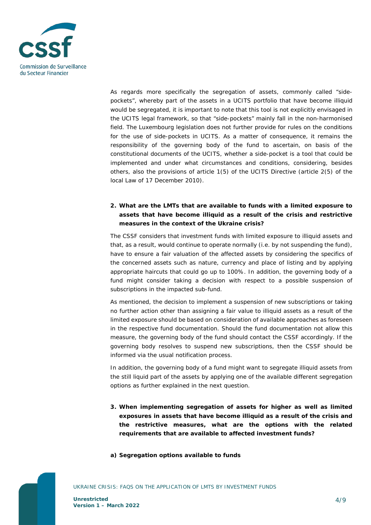

As regards more specifically the segregation of assets, commonly called "*sidepockets*", whereby part of the assets in a UCITS portfolio that have become illiquid would be segregated, it is important to note that this tool is not explicitly envisaged in the UCITS legal framework, so that "side-pockets" mainly fall in the non-harmonised field. The Luxembourg legislation does not further provide for rules on the conditions for the use of side-pockets in UCITS. As a matter of consequence, it remains the responsibility of the governing body of the fund to ascertain, on basis of the constitutional documents of the UCITS, whether a side-pocket is a tool that could be implemented and under what circumstances and conditions, considering, besides others, also the provisions of article 1(5) of the UCITS Directive (article 2(5) of the local Law of 17 December 2010).

# **2. What are the LMTs that are available to funds with a limited exposure to assets that have become illiquid as a result of the crisis and restrictive measures in the context of the Ukraine crisis?**

The CSSF considers that investment funds with limited exposure to illiquid assets and that, as a result, would continue to operate normally (i.e. by not suspending the fund), have to ensure a fair valuation of the affected assets by considering the specifics of the concerned assets such as nature, currency and place of listing and by applying appropriate haircuts that could go up to 100%. In addition, the governing body of a fund might consider taking a decision with respect to a possible suspension of subscriptions in the impacted sub-fund.

As mentioned, the decision to implement a suspension of new subscriptions or taking no further action other than assigning a fair value to illiquid assets as a result of the limited exposure should be based on consideration of available approaches as foreseen in the respective fund documentation. Should the fund documentation not allow this measure, the governing body of the fund should contact the CSSF accordingly. If the governing body resolves to suspend new subscriptions, then the CSSF should be informed via the usual notification process.

In addition, the governing body of a fund might want to segregate illiquid assets from the still liquid part of the assets by applying one of the available different segregation options as further explained in the next question.

- **3. When implementing segregation of assets for higher as well as limited exposures in assets that have become illiquid as a result of the crisis and the restrictive measures, what are the options with the related requirements that are available to affected investment funds?**
- **a) Segregation options available to funds**

UKRAINE CRISIS: FAQS ON THE APPLICATION OF LMTS BY INVESTMENT FUNDS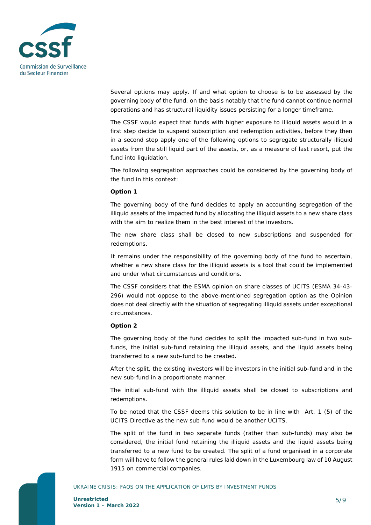

Several options may apply. If and what option to choose is to be assessed by the governing body of the fund, on the basis notably that the fund cannot continue normal operations and has structural liquidity issues persisting for a longer timeframe.

The CSSF would expect that funds with higher exposure to illiquid assets would in a first step decide to suspend subscription and redemption activities, before they then in a second step apply one of the following options to segregate structurally illiquid assets from the still liquid part of the assets, or, as a measure of last resort, put the fund into liquidation.

The following segregation approaches could be considered by the governing body of the fund in this context:

# **Option 1**

The governing body of the fund decides to apply an accounting segregation of the illiquid assets of the impacted fund by allocating the illiquid assets to a new share class with the aim to realize them in the best interest of the investors.

The new share class shall be closed to new subscriptions and suspended for redemptions.

It remains under the responsibility of the governing body of the fund to ascertain, whether a new share class for the illiquid assets is a tool that could be implemented and under what circumstances and conditions.

The CSSF considers that the ESMA opinion on share classes of UCITS (ESMA 34-43- 296) would not oppose to the above-mentioned segregation option as the Opinion does not deal directly with the situation of segregating illiquid assets under exceptional circumstances.

# **Option 2**

The governing body of the fund decides to split the impacted sub-fund in two subfunds, the initial sub-fund retaining the illiquid assets, and the liquid assets being transferred to a new sub-fund to be created.

After the split, the existing investors will be investors in the initial sub-fund and in the new sub-fund in a proportionate manner.

The initial sub-fund with the illiquid assets shall be closed to subscriptions and redemptions.

To be noted that the CSSF deems this solution to be in line with Art. 1 (5) of the UCITS Directive as the new sub-fund would be another UCITS.

The split of the fund in two separate funds (rather than sub-funds) may also be considered, the initial fund retaining the illiquid assets and the liquid assets being transferred to a new fund to be created. The split of a fund organised in a corporate form will have to follow the general rules laid down in the Luxembourg law of 10 August 1915 on commercial companies.

#### UKRAINE CRISIS: FAQS ON THE APPLICATION OF LMTS BY INVESTMENT FUNDS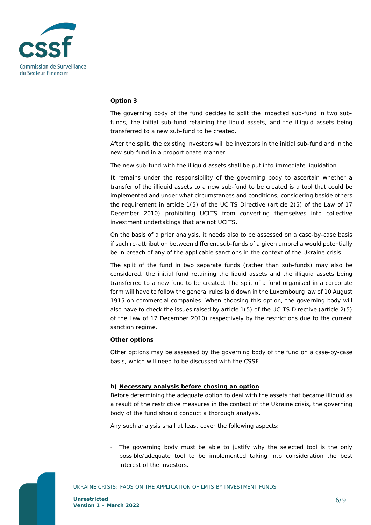

#### **Option 3**

The governing body of the fund decides to split the impacted sub-fund in two subfunds, the initial sub-fund retaining the liquid assets, and the illiquid assets being transferred to a new sub-fund to be created.

After the split, the existing investors will be investors in the initial sub-fund and in the new sub-fund in a proportionate manner.

The new sub-fund with the illiquid assets shall be put into immediate liquidation.

It remains under the responsibility of the governing body to ascertain whether a transfer of the illiquid assets to a new sub-fund to be created is a tool that could be implemented and under what circumstances and conditions, considering beside others the requirement in article 1(5) of the UCITS Directive (article 2(5) of the Law of 17 December 2010) prohibiting UCITS from converting themselves into collective investment undertakings that are not UCITS.

On the basis of a prior analysis, it needs also to be assessed on a case-by-case basis if such re-attribution between different sub-funds of a given umbrella would potentially be in breach of any of the applicable sanctions in the context of the Ukraine crisis.

The split of the fund in two separate funds (rather than sub-funds) may also be considered, the initial fund retaining the liquid assets and the illiquid assets being transferred to a new fund to be created. The split of a fund organised in a corporate form will have to follow the general rules laid down in the Luxembourg law of 10 August 1915 on commercial companies. When choosing this option, the governing body will also have to check the issues raised by article 1(5) of the UCITS Directive (article 2(5) of the Law of 17 December 2010) respectively by the restrictions due to the current sanction regime.

# **Other options**

Other options may be assessed by the governing body of the fund on a case-by-case basis, which will need to be discussed with the CSSF.

# **b) Necessary analysis before chosing an option**

Before determining the adequate option to deal with the assets that became illiquid as a result of the restrictive measures in the context of the Ukraine crisis, the governing body of the fund should conduct a thorough analysis.

Any such analysis shall at least cover the following aspects:

The governing body must be able to justify why the selected tool is the only possible/adequate tool to be implemented taking into consideration the best interest of the investors.

#### UKRAINE CRISIS: FAQS ON THE APPLICATION OF LMTS BY INVESTMENT FUNDS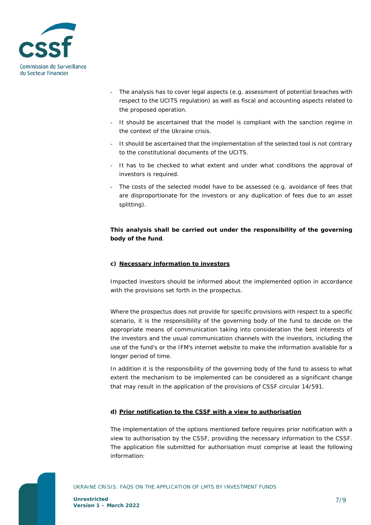

- The analysis has to cover legal aspects (e.g. assessment of potential breaches with respect to the UCITS regulation) as well as fiscal and accounting aspects related to the proposed operation.
- It should be ascertained that the model is compliant with the sanction regime in the context of the Ukraine crisis.
- It should be ascertained that the implementation of the selected tool is not contrary to the constitutional documents of the UCITS.
- It has to be checked to what extent and under what conditions the approval of investors is required.
- The costs of the selected model have to be assessed (e.g. avoidance of fees that are disproportionate for the investors or any duplication of fees due to an asset splitting).

# **This analysis shall be carried out under the responsibility of the governing body of the fund**.

# **c) Necessary information to investors**

Impacted investors should be informed about the implemented option in accordance with the provisions set forth in the prospectus.

Where the prospectus does not provide for specific provisions with respect to a specific scenario, it is the responsibility of the governing body of the fund to decide on the appropriate means of communication taking into consideration the best interests of the investors and the usual communication channels with the investors, including the use of the fund's or the IFM's internet website to make the information available for a longer period of time.

In addition it is the responsibility of the governing body of the fund to assess to what extent the mechanism to be implemented can be considered as a significant change that may result in the application of the provisions of CSSF circular 14/591.

# **d) Prior notification to the CSSF with a view to authorisation**

The implementation of the options mentioned before requires prior notification with a view to authorisation by the CSSF, providing the necessary information to the CSSF. The application file submitted for authorisation must comprise at least the following information:

UKRAINE CRISIS: FAQS ON THE APPLICATION OF LMTS BY INVESTMENT FUNDS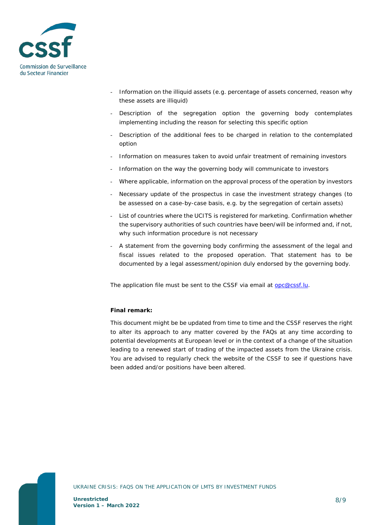

- Information on the illiquid assets (e.g. percentage of assets concerned, reason why these assets are illiquid)
- Description of the segregation option the governing body contemplates implementing including the reason for selecting this specific option
- Description of the additional fees to be charged in relation to the contemplated option
- Information on measures taken to avoid unfair treatment of remaining investors
- Information on the way the governing body will communicate to investors
- Where applicable, information on the approval process of the operation by investors
- Necessary update of the prospectus in case the investment strategy changes (to be assessed on a case-by-case basis, e.g. by the segregation of certain assets)
- List of countries where the UCITS is registered for marketing. Confirmation whether the supervisory authorities of such countries have been/will be informed and, if not, why such information procedure is not necessary
- A statement from the governing body confirming the assessment of the legal and fiscal issues related to the proposed operation. That statement has to be documented by a legal assessment/opinion duly endorsed by the governing body.

The application file must be sent to the CSSF via email at [opc@cssf.lu.](mailto:opc@cssf.lu)

# **Final remark:**

This document might be be updated from time to time and the CSSF reserves the right to alter its approach to any matter covered by the FAQs at any time according to potential developments at European level or in the context of a change of the situation leading to a renewed start of trading of the impacted assets from the Ukraine crisis. You are advised to regularly check the website of the CSSF to see if questions have been added and/or positions have been altered.